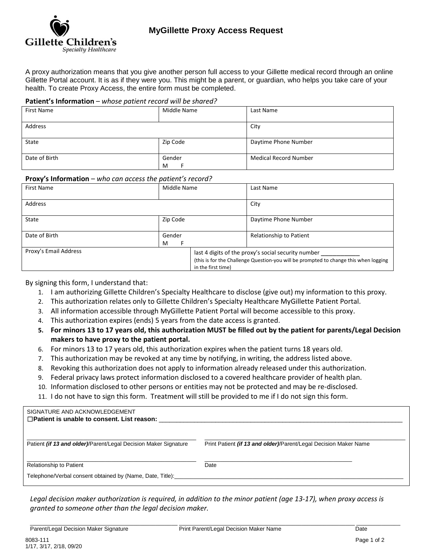

A proxy authorization means that you give another person full access to your Gillette medical record through an online Gillette Portal account. It is as if they were you. This might be a parent, or guardian, who helps you take care of your health. To create Proxy Access, the entire form must be completed.

## **Patient's Information** – *whose patient record will be shared?*

| <b>First Name</b> | Middle Name | Last Name                    |
|-------------------|-------------|------------------------------|
| Address           |             | City                         |
| State             | Zip Code    | Daytime Phone Number         |
| Date of Birth     | Gender<br>M | <b>Medical Record Number</b> |

## **Proxy's Information** – *who can access the patient's record?*

| First Name            | Middle Name |                    | Last Name                                                                                                                                   |
|-----------------------|-------------|--------------------|---------------------------------------------------------------------------------------------------------------------------------------------|
| Address               |             |                    | City                                                                                                                                        |
| State                 | Zip Code    |                    | Daytime Phone Number                                                                                                                        |
| Date of Birth         | Gender<br>M |                    | Relationship to Patient                                                                                                                     |
| Proxy's Email Address |             | in the first time) | last 4 digits of the proxy's social security number<br>(this is for the Challenge Question-you will be prompted to change this when logging |

By signing this form, I understand that:

- 1. I am authorizing Gillette Children's Specialty Healthcare to disclose (give out) my information to this proxy.
- 2. This authorization relates only to Gillette Children's Specialty Healthcare MyGillette Patient Portal.
- 3. All information accessible through MyGillette Patient Portal will become accessible to this proxy.
- 4. This authorization expires (ends) 5 years from the date access is granted.
- **5. For minors 13 to 17 years old, this authorization MUST be filled out by the patient for parents/Legal Decision makers to have proxy to the patient portal.**
- 6. For minors 13 to 17 years old, this authorization expires when the patient turns 18 years old.
- 7. This authorization may be revoked at any time by notifying, in writing, the address listed above.
- 8. Revoking this authorization does not apply to information already released under this authorization.
- 9. Federal privacy laws protect information disclosed to a covered healthcare provider of health plan.
- 10. Information disclosed to other persons or entities may not be protected and may be re-disclosed.
- 11. I do not have to sign this form. Treatment will still be provided to me if I do not sign this form.

| SIGNATURE AND ACKNOWLEDGEMENT<br>$\Box$ Patient is unable to consent. List reason: |                                                                  |
|------------------------------------------------------------------------------------|------------------------------------------------------------------|
| Patient (if 13 and older)/Parent/Legal Decision Maker Signature                    | Print Patient (if 13 and older)/Parent/Legal Decision Maker Name |
| <b>Relationship to Patient</b>                                                     | Date                                                             |
| Telephone/Verbal consent obtained by (Name, Date, Title):                          |                                                                  |

*Legal decision maker authorization is required, in addition to the minor patient (age 13-17), when proxy access is granted to someone other than the legal decision maker.*

\_\_\_\_\_\_\_\_\_\_\_\_\_\_\_\_\_\_\_\_\_\_\_\_\_\_\_\_\_\_\_\_\_\_\_\_\_\_\_\_\_\_\_\_\_\_\_ \_\_\_\_\_\_\_\_\_\_\_\_\_\_\_\_\_\_\_\_\_\_\_\_\_\_\_\_\_\_\_\_\_\_\_\_\_\_\_\_\_\_\_\_\_\_\_\_\_\_\_\_\_\_\_\_ \_\_\_\_\_\_\_\_\_\_\_\_\_\_ Parent/Legal Decision Maker Signature **Print Parent/Legal Decision Maker Name** Date